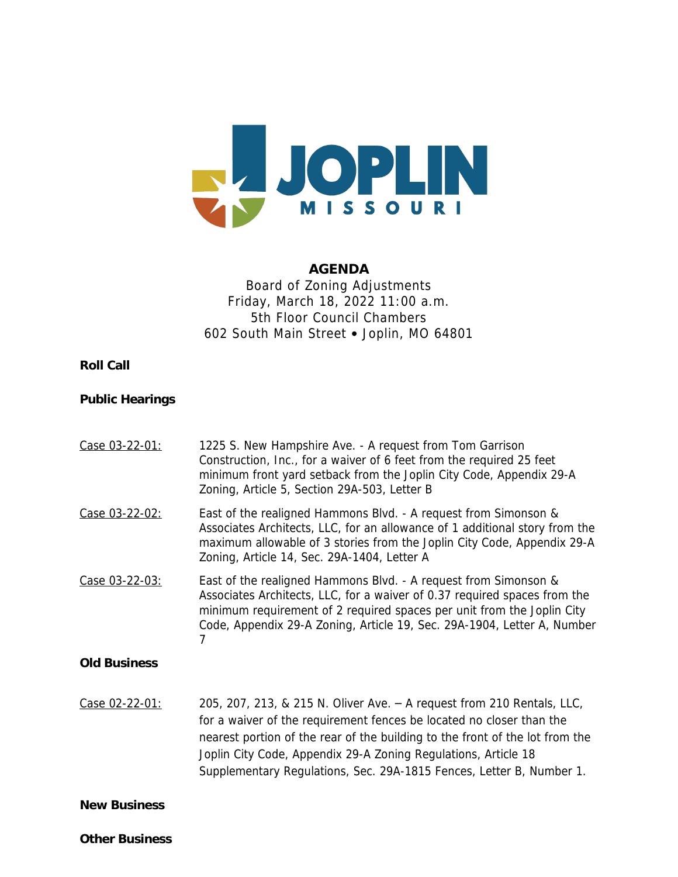

#### **AGENDA**

## Board of Zoning Adjustments Friday, March 18, 2022 11:00 a.m. 5th Floor Council Chambers 602 South Main Street • Joplin, MO 64801

### **Roll Call**

### **Public Hearings**

| Case 03-22-01:      | 1225 S. New Hampshire Ave. - A request from Tom Garrison<br>Construction, Inc., for a waiver of 6 feet from the required 25 feet<br>minimum front yard setback from the Joplin City Code, Appendix 29-A<br>Zoning, Article 5, Section 29A-503, Letter B                                                                                                                  |
|---------------------|--------------------------------------------------------------------------------------------------------------------------------------------------------------------------------------------------------------------------------------------------------------------------------------------------------------------------------------------------------------------------|
| Case 03-22-02:      | East of the realigned Hammons Blvd. - A request from Simonson &<br>Associates Architects, LLC, for an allowance of 1 additional story from the<br>maximum allowable of 3 stories from the Joplin City Code, Appendix 29-A<br>Zoning, Article 14, Sec. 29A-1404, Letter A                                                                                                 |
| Case 03-22-03:      | East of the realigned Hammons Blvd. - A request from Simonson &<br>Associates Architects, LLC, for a waiver of 0.37 required spaces from the<br>minimum requirement of 2 required spaces per unit from the Joplin City<br>Code, Appendix 29-A Zoning, Article 19, Sec. 29A-1904, Letter A, Number                                                                        |
| <b>Old Business</b> |                                                                                                                                                                                                                                                                                                                                                                          |
| Case 02-22-01:      | 205, 207, 213, & 215 N. Oliver Ave. - A request from 210 Rentals, LLC,<br>for a waiver of the requirement fences be located no closer than the<br>nearest portion of the rear of the building to the front of the lot from the<br>Joplin City Code, Appendix 29-A Zoning Regulations, Article 18<br>Supplementary Regulations, Sec. 29A-1815 Fences, Letter B, Number 1. |
| <b>New Business</b> |                                                                                                                                                                                                                                                                                                                                                                          |

**Other Business**